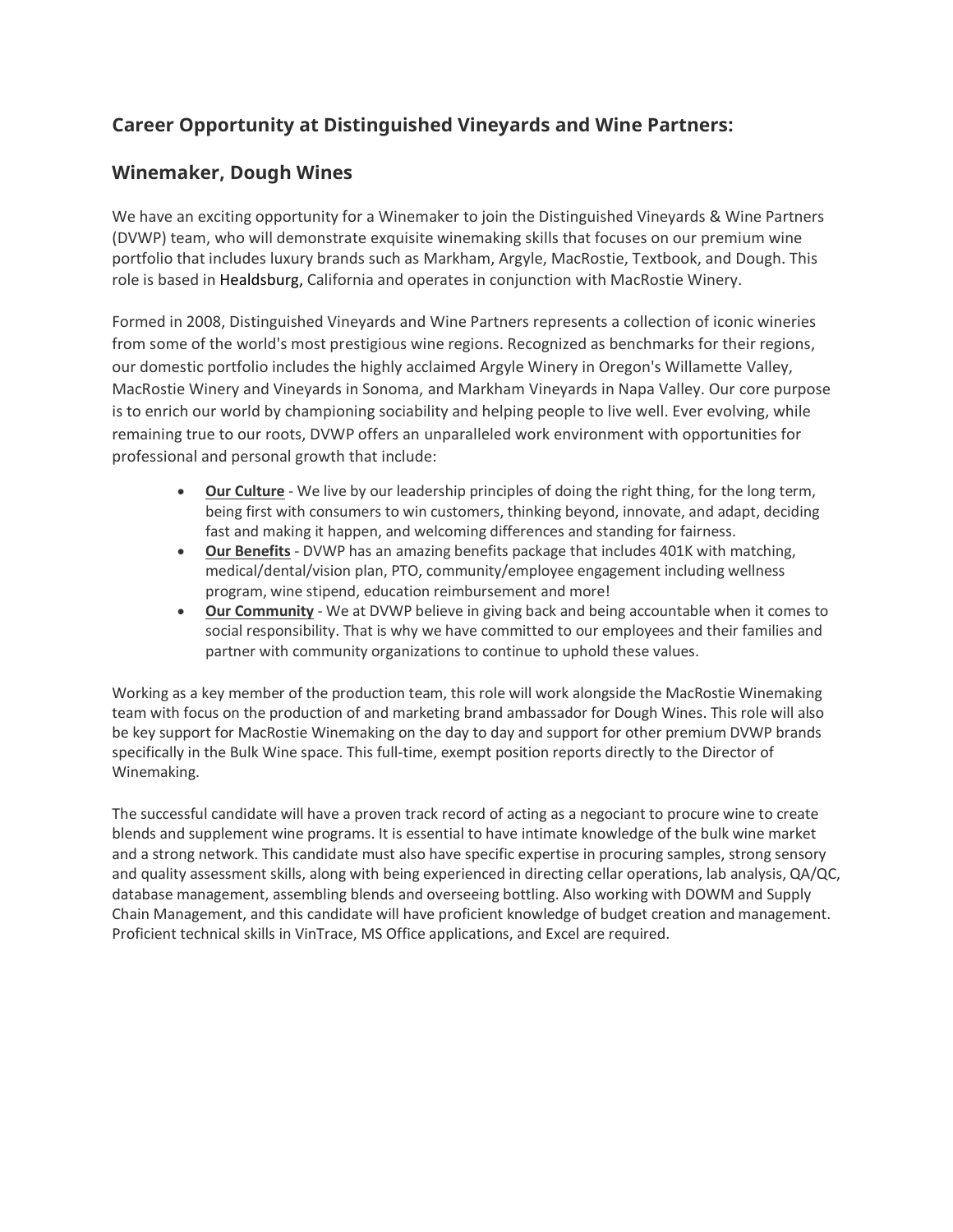## **Career Opportunity at Distinguished Vineyards and Wine Partners:**

## **Winemaker, Dough Wines**

We have an exciting opportunity for a Winemaker to join the Distinguished Vineyards & Wine Partners (DVWP) team, who will demonstrate exquisite winemaking skills that focuses on our premium wine portfolio that includes luxury brands such as Markham, Argyle, MacRostie, Textbook, and Dough. This role is based in Healdsburg, California and operates in conjunction with MacRostie Winery.

Formed in 2008, Distinguished Vineyards and Wine Partners represents a collection of iconic wineries from some of the world's most prestigious wine regions. Recognized as benchmarks for their regions, our domestic portfolio includes the highly acclaimed Argyle Winery in Oregon's Willamette Valley, MacRostie Winery and Vineyards in Sonoma, and Markham Vineyards in Napa Valley. Our core purpose is to enrich our world by championing sociability and helping people to live well. Ever evolving, while remaining true to our roots, DVWP offers an unparalleled work environment with opportunities for professional and personal growth that include:

- **Our Culture** We live by our leadership principles of doing the right thing, for the long term, being first with consumers to win customers, thinking beyond, innovate, and adapt, deciding fast and making it happen, and welcoming differences and standing for fairness.
- **Our Benefits** DVWP has an amazing benefits package that includes 401K with matching, medical/dental/vision plan, PTO, community/employee engagement including wellness program, wine stipend, education reimbursement and more!
- **Our Community** We at DVWP believe in giving back and being accountable when it comes to social responsibility. That is why we have committed to our employees and their families and partner with community organizations to continue to uphold these values.

Working as a key member of the production team, this role will work alongside the MacRostie Winemaking team with focus on the production of and marketing brand ambassador for Dough Wines. This role will also be key support for MacRostie Winemaking on the day to day and support for other premium DVWP brands specifically in the Bulk Wine space. This full-time, exempt position reports directly to the Director of Winemaking.

The successful candidate will have a proven track record of acting as a negociant to procure wine to create blends and supplement wine programs. It is essential to have intimate knowledge of the bulk wine market and a strong network. This candidate must also have specific expertise in procuring samples, strong sensory and quality assessment skills, along with being experienced in directing cellar operations, lab analysis, QA/QC, database management, assembling blends and overseeing bottling. Also working with DOWM and Supply Chain Management, and this candidate will have proficient knowledge of budget creation and management. Proficient technical skills in VinTrace, MS Office applications, and Excel are required.